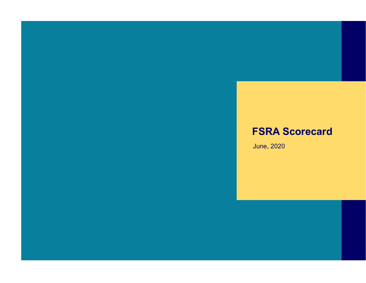# **FSRA Scorecard**

June, 2020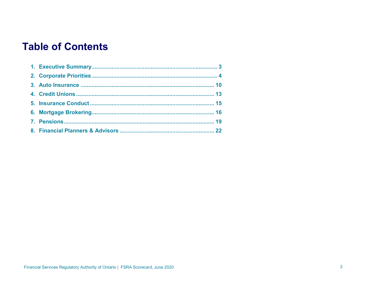# **Table of Contents**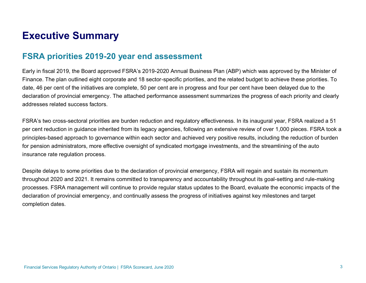# <span id="page-2-0"></span>**Executive Summary**

### **FSRA priorities 2019-20 year end assessment**

Early in fiscal 2019, the Board approved FSRA's 2019-2020 Annual Business Plan (ABP) which was approved by the Minister of Finance. The plan outlined eight corporate and 18 sector-specific priorities, and the related budget to achieve these priorities. To date, 46 per cent of the initiatives are complete, 50 per cent are in progress and four per cent have been delayed due to the declaration of provincial emergency. The attached performance assessment summarizes the progress of each priority and clearly addresses related success factors.

FSRA's two cross-sectoral priorities are burden reduction and regulatory effectiveness. In its inaugural year, FSRA realized a 51 per cent reduction in guidance inherited from its legacy agencies, following an extensive review of over 1,000 pieces. FSRA took a principles-based approach to governance within each sector and achieved very positive results, including the reduction of burden for pension administrators, more effective oversight of syndicated mortgage investments, and the streamlining of the auto insurance rate regulation process.

Despite delays to some priorities due to the declaration of provincial emergency, FSRA will regain and sustain its momentum throughout 2020 and 2021. It remains committed to transparency and accountability throughout its goal-setting and rule-making processes. FSRA management will continue to provide regular status updates to the Board, evaluate the economic impacts of the declaration of provincial emergency, and continually assess the progress of initiatives against key milestones and target completion dates.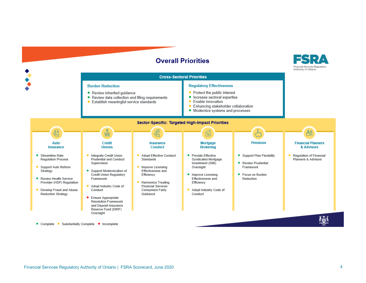#### **Overall Priorities**



<span id="page-3-0"></span>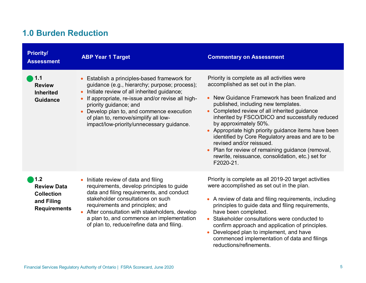## **1.0 Burden Reduction**

| <b>Priority/</b><br><b>Assessment</b>                                               | <b>ABP Year 1 Target</b>                                                                                                                                                                                                                                                                                                                                                                                    | <b>Commentary on Assessment</b>                                                                                                                                                                                                                                                                                                                                                                                                                                                                                                                                                             |
|-------------------------------------------------------------------------------------|-------------------------------------------------------------------------------------------------------------------------------------------------------------------------------------------------------------------------------------------------------------------------------------------------------------------------------------------------------------------------------------------------------------|---------------------------------------------------------------------------------------------------------------------------------------------------------------------------------------------------------------------------------------------------------------------------------------------------------------------------------------------------------------------------------------------------------------------------------------------------------------------------------------------------------------------------------------------------------------------------------------------|
| 1.1<br><b>Review</b><br><b>Inherited</b><br><b>Guidance</b>                         | Establish a principles-based framework for<br>$\bullet$<br>guidance (e.g., hierarchy; purpose; process);<br>Initiate review of all inherited guidance;<br>$\bullet$<br>If appropriate, re-issue and/or revise all high-<br>$\bullet$<br>priority guidance; and<br>Develop plan to, and commence execution<br>$\bullet$<br>of plan to, remove/simplify all low-<br>impact/low-priority/unnecessary guidance. | Priority is complete as all activities were<br>accomplished as set out in the plan.<br>New Guidance Framework has been finalized and<br>published, including new templates.<br>Completed review of all inherited guidance<br>$\bullet$<br>inherited by FSCO/DICO and successfully reduced<br>by approximately 50%.<br>Appropriate high priority guidance items have been<br>$\bullet$<br>identified by Core Regulatory areas and are to be<br>revised and/or reissued.<br>Plan for review of remaining guidance (removal,<br>rewrite, reissuance, consolidation, etc.) set for<br>F2020-21. |
| 1.2<br><b>Review Data</b><br><b>Collection</b><br>and Filing<br><b>Requirements</b> | Initiate review of data and filing<br>requirements, develop principles to guide<br>data and filing requirements, and conduct<br>stakeholder consultations on such<br>requirements and principles; and<br>After consultation with stakeholders, develop<br>a plan to, and commence an implementation<br>of plan to, reduce/refine data and filing.                                                           | Priority is complete as all 2019-20 target activities<br>were accomplished as set out in the plan.<br>A review of data and filing requirements, including<br>principles to guide data and filing requirements,<br>have been completed.<br>Stakeholder consultations were conducted to<br>confirm approach and application of principles.<br>Developed plan to implement, and have                                                                                                                                                                                                           |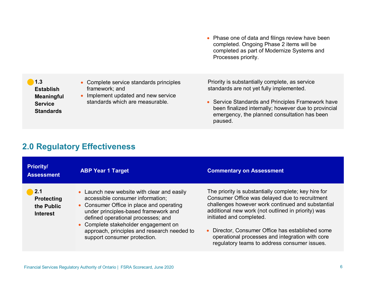• Phase one of data and filings review have been completed. Ongoing Phase 2 items will be completed as part of Modernize Systems and Processes priority.

**1.3 Establish Meaningful Service Standards**

- Complete service standards principles framework; and
- Implement updated and new service standards which are measurable.

Priority is substantially complete, as service standards are not yet fully implemented.

• Service Standards and Principles Framework have been finalized internally; however due to provincial emergency, the planned consultation has been paused.

### **2.0 Regulatory Effectiveness**

| <b>Priority/</b><br><b>Assessment</b>                                    | <b>ABP Year 1 Target</b>                                                                                                                                                                                                                                                                                                        | <b>Commentary on Assessment</b>                                                                                                                                                                                                                                                                                                                                                                                 |
|--------------------------------------------------------------------------|---------------------------------------------------------------------------------------------------------------------------------------------------------------------------------------------------------------------------------------------------------------------------------------------------------------------------------|-----------------------------------------------------------------------------------------------------------------------------------------------------------------------------------------------------------------------------------------------------------------------------------------------------------------------------------------------------------------------------------------------------------------|
| $\blacksquare$ 2.1<br><b>Protecting</b><br>the Public<br><b>Interest</b> | • Launch new website with clear and easily<br>accessible consumer information;<br>• Consumer Office in place and operating<br>under principles-based framework and<br>defined operational processes; and<br>• Complete stakeholder engagement on<br>approach, principles and research needed to<br>support consumer protection. | The priority is substantially complete; key hire for<br>Consumer Office was delayed due to recruitment<br>challenges however work continued and substantial<br>additional new work (not outlined in priority) was<br>initiated and completed.<br>Director, Consumer Office has established some<br>$\bullet$<br>operational processes and integration with core<br>regulatory teams to address consumer issues. |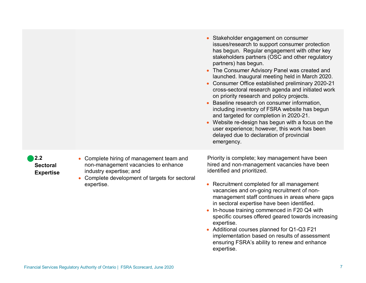|                                            |                                                                                                                                                                        | Stakeholder engagement on consumer<br>$\bullet$<br>issues/research to support consumer protection<br>has begun. Regular engagement with other key<br>stakeholders partners (OSC and other regulatory<br>partners) has begun.<br>• The Consumer Advisory Panel was created and<br>launched. Inaugural meeting held in March 2020.<br>Consumer Office established preliminary 2020-21<br>cross-sectoral research agenda and initiated work<br>on priority research and policy projects.<br>Baseline research on consumer information,<br>including inventory of FSRA website has begun<br>and targeted for completion in 2020-21.<br>Website re-design has begun with a focus on the<br>$\bullet$<br>user experience; however, this work has been<br>delayed due to declaration of provincial<br>emergency. |
|--------------------------------------------|------------------------------------------------------------------------------------------------------------------------------------------------------------------------|-----------------------------------------------------------------------------------------------------------------------------------------------------------------------------------------------------------------------------------------------------------------------------------------------------------------------------------------------------------------------------------------------------------------------------------------------------------------------------------------------------------------------------------------------------------------------------------------------------------------------------------------------------------------------------------------------------------------------------------------------------------------------------------------------------------|
| 2.2<br><b>Sectoral</b><br><b>Expertise</b> | Complete hiring of management team and<br>non-management vacancies to enhance<br>industry expertise; and<br>Complete development of targets for sectoral<br>expertise. | Priority is complete; key management have been<br>hired and non-management vacancies have been<br>identified and prioritized.<br>Recruitment completed for all management<br>$\bullet$<br>vacancies and on-going recruitment of non-<br>management staff continues in areas where gaps<br>in sectoral expertise have been identified.<br>In-house training commenced in F20 Q4 with<br>specific courses offered geared towards increasing<br>expertise.<br>Additional courses planned for Q1-Q3 F21<br>$\bullet$<br>implementation based on results of assessment<br>ensuring FSRA's ability to renew and enhance<br>expertise.                                                                                                                                                                           |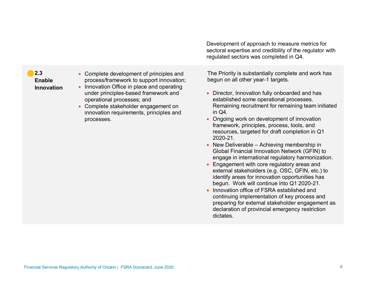Development of approach to measure metrics for sectoral expertise and credibility of the regulator with regulated sectors was completed in Q4.

#### **2.3 Enable Innovation**

- Complete development of principles and process/framework to support innovation;
- Innovation Office in place and operating under principles-based framework and operational processes; and
- Complete stakeholder engagement on innovation requirements, principles and processes.

The Priority is substantially complete and work has begun on all other year-1 targets.

- Director, Innovation fully onboarded and has established some operational processes. Remaining recruitment for remaining team initiated in Q4.
- Ongoing work on development of innovation framework, principles, process, tools, and resources, targeted for draft completion in Q1 2020-21.
- New Deliverable Achieving membership in Global Financial Innovation Network (GFIN) to engage in international regulatory harmonization.
- Engagement with core regulatory areas and external stakeholders (e.g. OSC, GFIN, etc.) to identify areas for innovation opportunities has begun. Work will continue into Q1 2020-21.
- Innovation office of FSRA established and continuing implementation of key process and preparing for external stakeholder engagement as declaration of provincial emergency restriction dictates.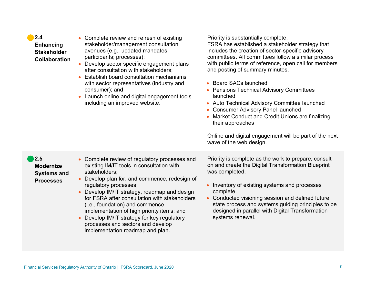| processes and sectors and develop<br>implementation roadmap and plan.          |  |
|--------------------------------------------------------------------------------|--|
|                                                                                |  |
|                                                                                |  |
|                                                                                |  |
| Financial Services Regulatory Authority of Ontario   FSRA Scorecard, June 2020 |  |

**Modernize Systems and Processes** existing IM/IT tools in consultation with stakeholders;

• Develop plan for, and commence, redesign of

• Complete review of regulatory processes and

- 
- regulatory processes;
- Develop IM/IT strategy, roadmap and design for FSRA after consultation with stakeholders (i.e., foundation) and commence

implementation of high priority items; and • Develop IM/IT strategy for key regulatory on and create the Digital Transformation Blueprint was completed.

Priority is complete as the work to prepare, consult

- Inventory of existing systems and processes complete.
- Conducted visioning session and defined future state process and systems guiding principles to be designed in parallel with Digital Transformation systems renewal.

**2.4 Enhancing Stakeholder Collaboration**

**2.5** 

- Complete review and refresh of existing stakeholder/management consultation avenues (e.g., updated mandates; participants; processes);
- Develop sector specific engagement plans after consultation with stakeholders;
- Establish board consultation mechanisms with sector representatives (industry and consumer); and
- Launch online and digital engagement tools including an improved website.

Priority is substantially complete.

FSRA has established a stakeholder strategy that includes the creation of sector-specific advisory committees. All committees follow a similar process with public terms of reference, open call for members and posting of summary minutes.

• Board SACs launched

wave of the web design.

- Pensions Technical Advisory Committees launched
- Auto Technical Advisory Committee launched
- Consumer Advisory Panel launched
- Market Conduct and Credit Unions are finalizing their approaches

Online and digital engagement will be part of the next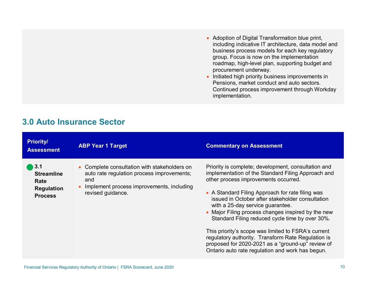- Adoption of Digital Transformation blue print, including indicative IT architecture, data model and business process models for each key regulatory group. Focus is now on the implementation roadmap, high-level plan, supporting budget and procurement underway.
- Initiated high priority business improvements in Pensions, market conduct and auto sectors. Continued process improvement through Workday implementation.

| <b>Priority/</b><br><b>Assessment</b>                                   | <b>ABP Year 1 Target</b>                                                                                                                                                         | <b>Commentary on Assessment</b>                                                                                                                                                                                                                                                                                                                                                                                                                                                                                                                                                                                              |
|-------------------------------------------------------------------------|----------------------------------------------------------------------------------------------------------------------------------------------------------------------------------|------------------------------------------------------------------------------------------------------------------------------------------------------------------------------------------------------------------------------------------------------------------------------------------------------------------------------------------------------------------------------------------------------------------------------------------------------------------------------------------------------------------------------------------------------------------------------------------------------------------------------|
| 3.1<br><b>Streamline</b><br>Rate<br><b>Regulation</b><br><b>Process</b> | • Complete consultation with stakeholders on<br>auto rate regulation process improvements;<br>and<br>Implement process improvements, including<br>$\bullet$<br>revised guidance. | Priority is complete; development, consultation and<br>implementation of the Standard Filing Approach and<br>other process improvements occurred.<br>• A Standard Filing Approach for rate filing was<br>issued in October after stakeholder consultation<br>with a 25-day service guarantee.<br>• Major Filing process changes inspired by the new<br>Standard Filing reduced cycle time by over 30%.<br>This priority's scope was limited to FSRA's current<br>regulatory authority. Transform Rate Regulation is<br>proposed for 2020-2021 as a "ground-up" review of<br>Ontario auto rate regulation and work has begun. |

### <span id="page-9-0"></span>**3.0 Auto Insurance Sector**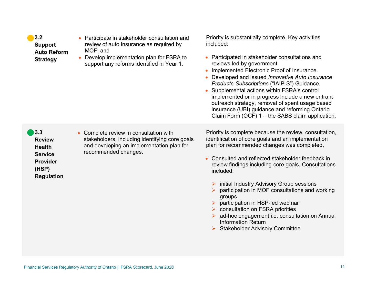| 3.2<br><b>Support</b><br><b>Auto Reform</b><br><b>Strategy</b>                                           | Participate in stakeholder consultation and<br>review of auto insurance as required by<br>MOF; and<br>Develop implementation plan for FSRA to<br>support any reforms identified in Year 1. | Priority is substantially complete. Key activities<br>included:<br>• Participated in stakeholder consultations and<br>reviews led by government.<br>Implemented Electronic Proof of Insurance.<br>Developed and issued Innovative Auto Insurance<br>Products-Subscriptions ("IAIP-S") Guidance.<br>Supplemental actions within FSRA's control<br>implemented or in progress include a new entrant<br>outreach strategy, removal of spent usage based<br>insurance (UBI) guidance and reforming Ontario<br>Claim Form (OCF) 1 - the SABS claim application.                               |
|----------------------------------------------------------------------------------------------------------|--------------------------------------------------------------------------------------------------------------------------------------------------------------------------------------------|------------------------------------------------------------------------------------------------------------------------------------------------------------------------------------------------------------------------------------------------------------------------------------------------------------------------------------------------------------------------------------------------------------------------------------------------------------------------------------------------------------------------------------------------------------------------------------------|
| 3.3<br><b>Review</b><br><b>Health</b><br><b>Service</b><br><b>Provider</b><br>(HSP)<br><b>Regulation</b> | • Complete review in consultation with<br>stakeholders, including identifying core goals<br>and developing an implementation plan for<br>recommended changes.                              | Priority is complete because the review, consultation,<br>identification of core goals and an implementation<br>plan for recommended changes was completed.<br>Consulted and reflected stakeholder feedback in<br>review findings including core goals. Consultations<br>included:<br>initial Industry Advisory Group sessions<br>participation in MOF consultations and working<br>groups<br>participation in HSP-led webinar<br>consultation on FSRA priorities<br>ad-hoc engagement i.e. consultation on Annual<br><b>Information Return</b><br><b>Stakeholder Advisory Committee</b> |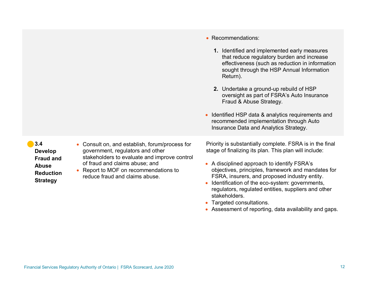- **3.4 Develop Fraud and Abuse Reduction Strategy**
- Consult on, and establish, forum/process for government, regulators and other stakeholders to evaluate and improve control of fraud and claims abuse; and
- Report to MOF on recommendations to reduce fraud and claims abuse.

Priority is substantially complete. FSRA is in the final stage of finalizing its plan. This plan will include:

• Identified HSP data & analytics requirements and recommended implementation through Auto Insurance Data and Analytics Strategy.

**1.** Identified and implemented early measures that reduce regulatory burden and increase effectiveness (such as reduction in information sought through the HSP Annual Information

**2.** Undertake a ground-up rebuild of HSP

Fraud & Abuse Strategy.

oversight as part of FSRA's Auto Insurance

- A disciplined approach to identify FSRA's objectives, principles, framework and mandates for FSRA, insurers, and proposed industry entity.
- Identification of the eco-system: governments, regulators, regulated entities, suppliers and other stakeholders.
- Targeted consultations.

• Recommendations:

Return).

• Assessment of reporting, data availability and gaps.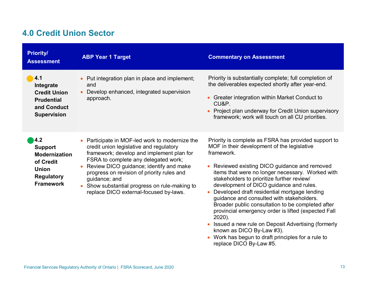## <span id="page-12-0"></span>**4.0 Credit Union Sector**

| <b>Priority/</b><br><b>Assessment</b>                                                                               | <b>ABP Year 1 Target</b>                                                                                                                                                                                                                                                                                                                                                        | <b>Commentary on Assessment</b>                                                                                                                                                                                                                                                                                                                                                                                                                                                                                                                                                                                                                                                                    |
|---------------------------------------------------------------------------------------------------------------------|---------------------------------------------------------------------------------------------------------------------------------------------------------------------------------------------------------------------------------------------------------------------------------------------------------------------------------------------------------------------------------|----------------------------------------------------------------------------------------------------------------------------------------------------------------------------------------------------------------------------------------------------------------------------------------------------------------------------------------------------------------------------------------------------------------------------------------------------------------------------------------------------------------------------------------------------------------------------------------------------------------------------------------------------------------------------------------------------|
| 4.1<br>Integrate<br><b>Credit Union</b><br><b>Prudential</b><br>and Conduct<br><b>Supervision</b>                   | Put integration plan in place and implement;<br>and<br>Develop enhanced, integrated supervision<br>approach.                                                                                                                                                                                                                                                                    | Priority is substantially complete; full completion of<br>the deliverables expected shortly after year-end.<br>• Greater integration within Market Conduct to<br>CU&P.<br>• Project plan underway for Credit Union supervisory<br>framework; work will touch on all CU priorities.                                                                                                                                                                                                                                                                                                                                                                                                                 |
| 4.2<br><b>Support</b><br><b>Modernization</b><br>of Credit<br><b>Union</b><br><b>Regulatory</b><br><b>Framework</b> | Participate in MOF-led work to modernize the<br>credit union legislative and regulatory<br>framework; develop and implement plan for<br>FSRA to complete any delegated work;<br>Review DICO guidance; identify and make<br>progress on revision of priority rules and<br>guidance; and<br>Show substantial progress on rule-making to<br>replace DICO external-focused by-laws. | Priority is complete as FSRA has provided support to<br>MOF in their development of the legislative<br>framework.<br>Reviewed existing DICO guidance and removed<br>items that were no longer necessary. Worked with<br>stakeholders to prioritize further review/<br>development of DICO guidance and rules.<br>Developed draft residential mortgage lending<br>guidance and consulted with stakeholders.<br>Broader public consultation to be completed after<br>provincial emergency order is lifted (expected Fall<br>2020).<br>Issued a new rule on Deposit Advertising (formerly<br>known as DICO By-Law #3).<br>Work has begun to draft principles for a rule to<br>replace DICO By-Law #5. |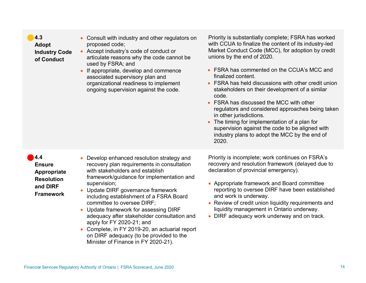| 4.3<br><b>Adopt</b><br><b>Industry Code</b><br>of Conduct                                       | Consult with industry and other regulators on<br>proposed code;<br>• Accept industry's code of conduct or<br>articulate reasons why the code cannot be<br>used by FSRA; and<br>If appropriate, develop and commence<br>associated supervisory plan and<br>organizational readiness to implement<br>ongoing supervision against the code.                                                                                                                                                                                                                 | Priority is substantially complete; FSRA has worked<br>with CCUA to finalize the content of its industry-led<br>Market Conduct Code (MCC), for adoption by credit<br>unions by the end of 2020.<br>FSRA has commented on the CCUA's MCC and<br>finalized content.<br>FSRA has held discussions with other credit union<br>stakeholders on their development of a similar<br>code.<br>FSRA has discussed the MCC with other<br>regulators and considered approaches being taken<br>in other jurisdictions.<br>The timing for implementation of a plan for<br>supervision against the code to be aligned with<br>industry plans to adopt the MCC by the end of<br>2020. |
|-------------------------------------------------------------------------------------------------|----------------------------------------------------------------------------------------------------------------------------------------------------------------------------------------------------------------------------------------------------------------------------------------------------------------------------------------------------------------------------------------------------------------------------------------------------------------------------------------------------------------------------------------------------------|-----------------------------------------------------------------------------------------------------------------------------------------------------------------------------------------------------------------------------------------------------------------------------------------------------------------------------------------------------------------------------------------------------------------------------------------------------------------------------------------------------------------------------------------------------------------------------------------------------------------------------------------------------------------------|
| 4.4<br><b>Ensure</b><br><b>Appropriate</b><br><b>Resolution</b><br>and DIRF<br><b>Framework</b> | Develop enhanced resolution strategy and<br>recovery plan requirements in consultation<br>with stakeholders and establish<br>framework/guidance for implementation and<br>supervision;<br>Update DIRF governance framework<br>including establishment of a FSRA Board<br>committee to oversee DIRF;<br>Update framework for assessing DIRF<br>adequacy after stakeholder consultation and<br>apply for FY 2020-21; and<br>Complete, in FY 2019-20, an actuarial report<br>on DIRF adequacy (to be provided to the<br>Minister of Finance in FY 2020-21). | Priority is incomplete; work continues on FSRA's<br>recovery and resolution framework (delayed due to<br>declaration of provincial emergency).<br>Appropriate framework and Board committee<br>reporting to oversee DIRF have been established<br>and work is underway.<br>Review of credit union liquidity requirements and<br>liquidity management in Ontario underway.<br>• DIRF adequacy work underway and on track.                                                                                                                                                                                                                                              |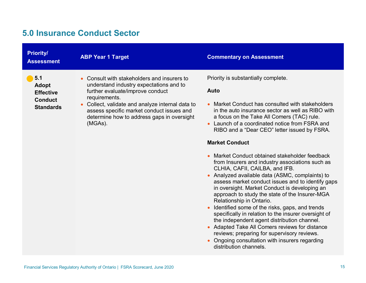### <span id="page-14-0"></span>**5.0 Insurance Conduct Sector**

| <b>Priority/</b><br><b>Assessment</b>                                    | <b>ABP Year 1 Target</b>                                                                                                                               | <b>Commentary on Assessment</b>                                                                                                                                                                                                                                             |
|--------------------------------------------------------------------------|--------------------------------------------------------------------------------------------------------------------------------------------------------|-----------------------------------------------------------------------------------------------------------------------------------------------------------------------------------------------------------------------------------------------------------------------------|
| $\blacksquare$ 5.1<br><b>Adopt</b><br><b>Effective</b><br><b>Conduct</b> | • Consult with stakeholders and insurers to<br>understand industry expectations and to<br>further evaluate/improve conduct<br>requirements.            | Priority is substantially complete.<br>Auto                                                                                                                                                                                                                                 |
| <b>Standards</b>                                                         | • Collect, validate and analyze internal data to<br>assess specific market conduct issues and<br>determine how to address gaps in oversight<br>(MGAs). | Market Conduct has consulted with stakeholders<br>$\bullet$<br>in the auto insurance sector as well as RIBO with<br>a focus on the Take All Comers (TAC) rule.<br>Launch of a coordinated notice from FSRA and<br>$\bullet$<br>RIBO and a "Dear CEO" letter issued by FSRA. |

#### **Market Conduct**

- Market Conduct obtained stakeholder feedback from Insurers and industry associations such as CLHIA, CAFII, CAILBA, and IFB.
- Analyzed available data (ASMC, complaints) to assess market conduct issues and to identify gaps in oversight. Market Conduct is developing an approach to study the state of the Insurer-MGA Relationship in Ontario.
- Identified some of the risks, gaps, and trends specifically in relation to the insurer oversight of the independent agent distribution channel.
- Adapted Take All Comers reviews for distance reviews; preparing for supervisory reviews.
- Ongoing consultation with insurers regarding distribution channels.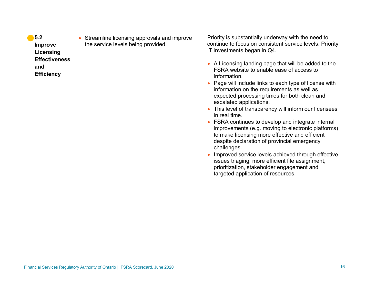- **5.2 Improve Licensing Effectiveness and Efficiency**
- Streamline licensing approvals and improve the service levels being provided.

Priority is substantially underway with the need to continue to focus on consistent service levels. Priority IT investments began in Q4.

- A Licensing landing page that will be added to the FSRA website to enable ease of access to information.
- Page will include links to each type of license with information on the requirements as well as expected processing times for both clean and escalated applications.
- This level of transparency will inform our licensees in real time.
- FSRA continues to develop and integrate internal improvements (e.g. moving to electronic platforms) to make licensing more effective and efficient despite declaration of provincial emergency challenges.
- Improved service levels achieved through effective issues triaging, more efficient file assignment, prioritization, stakeholder engagement and targeted application of resources.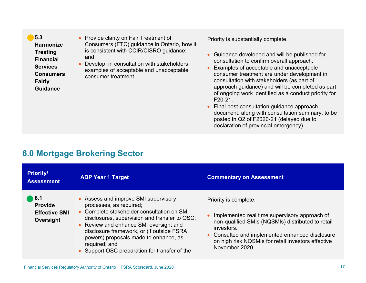<span id="page-16-0"></span>**5.3 Harmonize Treating Financial Services Consumers Fairly Guidance**

• Provide clarity on Fair Treatment of Consumers (FTC) guidance in Ontario, how it is consistent with CCIR/CISRO guidance; and

• Develop, in consultation with stakeholders, examples of acceptable and unacceptable consumer treatment.

Priority is substantially complete.

- Guidance developed and will be published for consultation to confirm overall approach.
- Examples of acceptable and unacceptable consumer treatment are under development in consultation with stakeholders (as part of approach guidance) and will be completed as part of ongoing work identified as a conduct priority for F20-21.
- Final post-consultation guidance approach document, along with consultation summary, to be posted in Q2 of F2020-21 (delayed due to declaration of provincial emergency).

#### **6.0 Mortgage Brokering Sector**

| <b>Priority/</b><br><b>Assessment</b>                                     | <b>ABP Year 1 Target</b>                                                                                                                                                                                                                                                                                                                                       | <b>Commentary on Assessment</b>                                                                                                                                                                                                                                      |
|---------------------------------------------------------------------------|----------------------------------------------------------------------------------------------------------------------------------------------------------------------------------------------------------------------------------------------------------------------------------------------------------------------------------------------------------------|----------------------------------------------------------------------------------------------------------------------------------------------------------------------------------------------------------------------------------------------------------------------|
| $\blacksquare$ 6.1<br><b>Provide</b><br><b>Effective SMI</b><br>Oversight | • Assess and improve SMI supervisory<br>processes, as required;<br>Complete stakeholder consultation on SMI<br>disclosures, supervision and transfer to OSC;<br>• Review and enhance SMI oversight and<br>disclosure framework, or (if outside FSRA<br>powers) proposals made to enhance, as<br>required; and<br>• Support OSC preparation for transfer of the | Priority is complete.<br>Implemented real time supervisory approach of<br>non-qualified SMIs (NQSMIs) distributed to retail<br>investors.<br>• Consulted and implemented enhanced disclosure<br>on high risk NQSMIs for retail investors effective<br>November 2020. |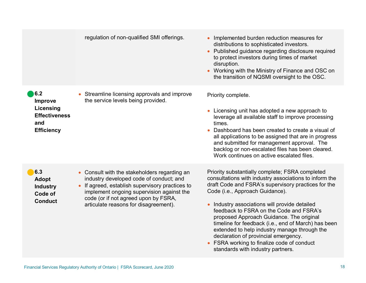|                                                                                        | regulation of non-qualified SMI offerings.                                                                                                                                                                                                                             | Implemented burden reduction measures for<br>distributions to sophisticated investors.<br>Published guidance regarding disclosure required<br>to protect investors during times of market<br>disruption.<br>Working with the Ministry of Finance and OSC on<br>the transition of NQSMI oversight to the OSC.                                                                                                                                                                                                                                                                |
|----------------------------------------------------------------------------------------|------------------------------------------------------------------------------------------------------------------------------------------------------------------------------------------------------------------------------------------------------------------------|-----------------------------------------------------------------------------------------------------------------------------------------------------------------------------------------------------------------------------------------------------------------------------------------------------------------------------------------------------------------------------------------------------------------------------------------------------------------------------------------------------------------------------------------------------------------------------|
| 6.2<br><b>Improve</b><br>Licensing<br><b>Effectiveness</b><br>and<br><b>Efficiency</b> | Streamline licensing approvals and improve<br>the service levels being provided.                                                                                                                                                                                       | Priority complete.<br>Licensing unit has adopted a new approach to<br>leverage all available staff to improve processing<br>times.<br>Dashboard has been created to create a visual of<br>all applications to be assigned that are in progress<br>and submitted for management approval. The<br>backlog or non-escalated files has been cleared.<br>Work continues on active escalated files.                                                                                                                                                                               |
| 6.3<br><b>Adopt</b><br><b>Industry</b><br>Code of<br><b>Conduct</b>                    | • Consult with the stakeholders regarding an<br>industry developed code of conduct; and<br>If agreed, establish supervisory practices to<br>implement ongoing supervision against the<br>code (or if not agreed upon by FSRA,<br>articulate reasons for disagreement). | Priority substantially complete; FSRA completed<br>consultations with industry associations to inform the<br>draft Code and FSRA's supervisory practices for the<br>Code (i.e., Approach Guidance).<br>• Industry associations will provide detailed<br>feedback to FSRA on the Code and FSRA's<br>proposed Approach Guidance. The original<br>timeline for feedback (i.e., end of March) has been<br>extended to help industry manage through the<br>declaration of provincial emergency.<br>FSRA working to finalize code of conduct<br>standards with industry partners. |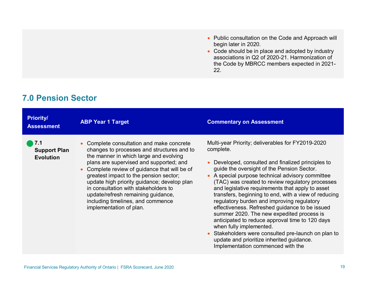- Public consultation on the Code and Approach will begin later in 2020.
- Code should be in place and adopted by industry associations in Q2 of 2020-21. Harmonization of the Code by MBRCC members expected in 2021- 22.

## <span id="page-18-0"></span>**7.0 Pension Sector**

| <b>Priority/</b><br><b>Assessment</b>                         | <b>ABP Year 1 Target</b>                                                                                                                                                                                                                                                                                                                                                                                                                                                      | <b>Commentary on Assessment</b>                                                                                                                                                                                                                                                                                                                                                                                                                                                                                                                                                                                                                                                                                                                        |
|---------------------------------------------------------------|-------------------------------------------------------------------------------------------------------------------------------------------------------------------------------------------------------------------------------------------------------------------------------------------------------------------------------------------------------------------------------------------------------------------------------------------------------------------------------|--------------------------------------------------------------------------------------------------------------------------------------------------------------------------------------------------------------------------------------------------------------------------------------------------------------------------------------------------------------------------------------------------------------------------------------------------------------------------------------------------------------------------------------------------------------------------------------------------------------------------------------------------------------------------------------------------------------------------------------------------------|
| $\blacksquare$ 7.1<br><b>Support Plan</b><br><b>Evolution</b> | Complete consultation and make concrete<br>changes to processes and structures and to<br>the manner in which large and evolving<br>plans are supervised and supported; and<br>Complete review of guidance that will be of<br>$\bullet$<br>greatest impact to the pension sector;<br>update high priority guidance; develop plan<br>in consultation with stakeholders to<br>update/refresh remaining guidance,<br>including timelines, and commence<br>implementation of plan. | Multi-year Priority; deliverables for FY2019-2020<br>complete.<br>Developed, consulted and finalized principles to<br>guide the oversight of the Pension Sector.<br>• A special purpose technical advisory committee<br>(TAC) was created to review regulatory processes<br>and legislative requirements that apply to asset<br>transfers, beginning to end, with a view of reducing<br>regulatory burden and improving regulatory<br>effectiveness. Refreshed guidance to be issued<br>summer 2020. The new expedited process is<br>anticipated to reduce approval time to 120 days<br>when fully implemented.<br>Stakeholders were consulted pre-launch on plan to<br>update and prioritize inherited guidance.<br>Implementation commenced with the |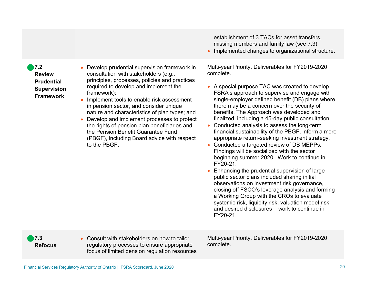**7.2 Review Prudential Supervision Framework**

- Develop prudential supervision framework in consultation with stakeholders (e.g., principles, processes, policies and practices required to develop and implement the framework);
- Implement tools to enable risk assessment in pension sector, and consider unique nature and characteristics of plan types; and
- Develop and implement processes to protect the rights of pension plan beneficiaries and the Pension Benefit Guarantee Fund (PBGF), including Board advice with respect to the PBGF.

• Consult with stakeholders on how to tailor regulatory processes to ensure appropriate focus of limited pension regulation resources establishment of 3 TACs for asset transfers, missing members and family law (see 7.3)

• Implemented changes to organizational structure.

Multi-year Priority. Deliverables for FY2019-2020 complete.

- A special purpose TAC was created to develop FSRA's approach to supervise and engage with single-employer defined benefit (DB) plans where there may be a concern over the security of benefits. The Approach was developed and finalized, including a 45-day public consultation.
- Conducted analysis to assess the long-term financial sustainability of the PBGF, inform a more appropriate return-seeking investment strategy.
- Conducted a targeted review of DB MEPPs. Findings will be socialized with the sector beginning summer 2020. Work to continue in FY20-21.
- Enhancing the prudential supervision of large public sector plans included sharing initial observations on investment risk governance, closing off FSCO's leverage analysis and forming a Working Group with the CROs to evaluate systemic risk, liquidity risk, valuation model risk and desired disclosures – work to continue in FY20-21.

Multi-year Priority. Deliverables for FY2019-2020 complete.

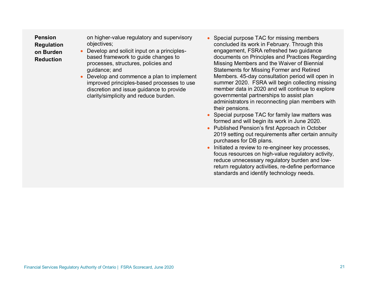**Pension Regulation on Burden Reduction**

on higher-value regulatory and supervisory objectives;

- Develop and solicit input on a principlesbased framework to guide changes to processes, structures, policies and guidance; and
- Develop and commence a plan to implement improved principles-based processes to use discretion and issue guidance to provide clarity/simplicity and reduce burden.
- Special purpose TAC for missing members concluded its work in February. Through this engagement, FSRA refreshed two guidance documents on Principles and Practices Regarding Missing Members and the Waiver of Biennial Statements for Missing Former and Retired Members. 45-day consultation period will open in summer 2020. FSRA will begin collecting missing member data in 2020 and will continue to explore governmental partnerships to assist plan administrators in reconnecting plan members with their pensions.
- Special purpose TAC for family law matters was formed and will begin its work in June 2020.
- Published Pension's first Approach in October 2019 setting out requirements after certain annuity purchases for DB plans.
- Initiated a review to re-engineer key processes, focus resources on high-value regulatory activity, reduce unnecessary regulatory burden and lowreturn regulatory activities, re-define performance standards and identify technology needs.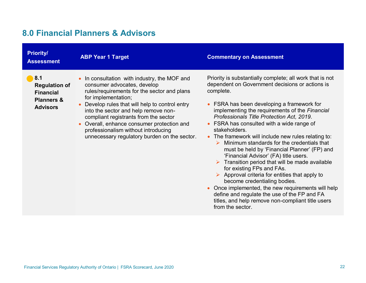# <span id="page-21-0"></span>**8.0 Financial Planners & Advisors**

| <b>Priority/</b><br><b>Assessment</b>                                                       | <b>ABP Year 1 Target</b>                                                                                                                                                                                                                                                                                                                                                                                             | <b>Commentary on Assessment</b>                                                                                                                                                                                                                                                                                                                                                                                                                                                                                                                                                                                                                                                                                                                                                                                                                                                               |
|---------------------------------------------------------------------------------------------|----------------------------------------------------------------------------------------------------------------------------------------------------------------------------------------------------------------------------------------------------------------------------------------------------------------------------------------------------------------------------------------------------------------------|-----------------------------------------------------------------------------------------------------------------------------------------------------------------------------------------------------------------------------------------------------------------------------------------------------------------------------------------------------------------------------------------------------------------------------------------------------------------------------------------------------------------------------------------------------------------------------------------------------------------------------------------------------------------------------------------------------------------------------------------------------------------------------------------------------------------------------------------------------------------------------------------------|
| 8.1<br><b>Regulation of</b><br><b>Financial</b><br><b>Planners &amp;</b><br><b>Advisors</b> | In consultation with industry, the MOF and<br>consumer advocates, develop<br>rules/requirements for the sector and plans<br>for implementation;<br>Develop rules that will help to control entry<br>into the sector and help remove non-<br>compliant registrants from the sector<br>Overall, enhance consumer protection and<br>professionalism without introducing<br>unnecessary regulatory burden on the sector. | Priority is substantially complete; all work that is not<br>dependent on Government decisions or actions is<br>complete.<br>• FSRA has been developing a framework for<br>implementing the requirements of the Financial<br>Professionals Title Protection Act, 2019.<br>• FSRA has consulted with a wide range of<br>stakeholders.<br>• The framework will include new rules relating to:<br>Minimum standards for the credentials that<br>must be held by 'Financial Planner' (FP) and<br>'Financial Advisor' (FA) title users.<br>Transition period that will be made available<br>for existing FPs and FAs.<br>$\triangleright$ Approval criteria for entities that apply to<br>become credentialing bodies.<br>Once implemented, the new requirements will help<br>define and regulate the use of the FP and FA<br>titles, and help remove non-compliant title users<br>from the sector. |